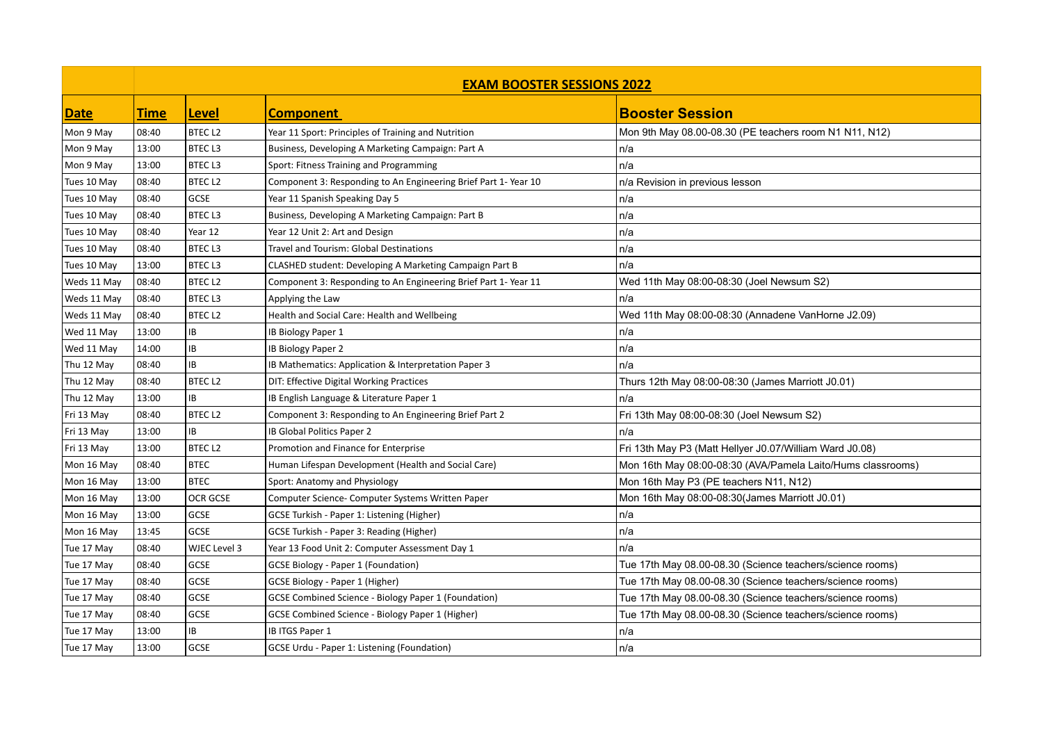|             | <b>EXAM BOOSTER SESSIONS 2022</b> |                    |                                                                 |                                                             |  |
|-------------|-----------------------------------|--------------------|-----------------------------------------------------------------|-------------------------------------------------------------|--|
| Date        | <b>Time</b>                       | Level              | <b>Component</b>                                                | <b>Booster Session</b>                                      |  |
| Mon 9 May   | 08:40                             | <b>BTECL2</b>      | Year 11 Sport: Principles of Training and Nutrition             | Mon 9th May 08.00-08.30 (PE teachers room N1 N11, N12)      |  |
| Mon 9 May   | 13:00                             | <b>BTECL3</b>      | Business, Developing A Marketing Campaign: Part A               | n/a                                                         |  |
| Mon 9 May   | 13:00                             | <b>BTECL3</b>      | Sport: Fitness Training and Programming                         | n/a                                                         |  |
| Tues 10 May | 08:40                             | <b>BTECL2</b>      | Component 3: Responding to An Engineering Brief Part 1- Year 10 | n/a Revision in previous lesson                             |  |
| Tues 10 May | 08:40                             | GCSE               | Year 11 Spanish Speaking Day 5                                  | n/a                                                         |  |
| Tues 10 May | 08:40                             | <b>BTECL3</b>      | Business, Developing A Marketing Campaign: Part B               | n/a                                                         |  |
| Tues 10 May | 08:40                             | Year 12            | Year 12 Unit 2: Art and Design                                  | n/a                                                         |  |
| Tues 10 May | 08:40                             | <b>BTECL3</b>      | Travel and Tourism: Global Destinations                         | n/a                                                         |  |
| Tues 10 May | 13:00                             | <b>BTECL3</b>      | CLASHED student: Developing A Marketing Campaign Part B         | n/a                                                         |  |
| Weds 11 May | 08:40                             | <b>BTECL2</b>      | Component 3: Responding to An Engineering Brief Part 1- Year 11 | Wed 11th May 08:00-08:30 (Joel Newsum S2)                   |  |
| Weds 11 May | 08:40                             | <b>BTECL3</b>      | Applying the Law                                                | n/a                                                         |  |
| Weds 11 May | 08:40                             | <b>BTECL2</b>      | Health and Social Care: Health and Wellbeing                    | Wed 11th May 08:00-08:30 (Annadene VanHorne J2.09)          |  |
| Wed 11 May  | 13:00                             | IB                 | IB Biology Paper 1                                              | n/a                                                         |  |
| Wed 11 May  | 14:00                             | IB                 | IB Biology Paper 2                                              | n/a                                                         |  |
| Thu 12 May  | 08:40                             | IB                 | IB Mathematics: Application & Interpretation Paper 3            | n/a                                                         |  |
| Thu 12 May  | 08:40                             | BTEC <sub>L2</sub> | DIT: Effective Digital Working Practices                        | Thurs 12th May 08:00-08:30 (James Marriott J0.01)           |  |
| Thu 12 May  | 13:00                             | IB                 | IB English Language & Literature Paper 1                        | n/a                                                         |  |
| Fri 13 May  | 08:40                             | BTEC <sub>L2</sub> | Component 3: Responding to An Engineering Brief Part 2          | Fri 13th May 08:00-08:30 (Joel Newsum S2)                   |  |
| Fri 13 May  | 13:00                             | IB                 | IB Global Politics Paper 2                                      | n/a                                                         |  |
| Fri 13 May  | 13:00                             | <b>BTECL2</b>      | Promotion and Finance for Enterprise                            | Fri 13th May P3 (Matt Hellyer J0.07/William Ward J0.08)     |  |
| Mon 16 May  | 08:40                             | <b>BTEC</b>        | Human Lifespan Development (Health and Social Care)             | Mon 16th May 08:00-08:30 (AVA/Pamela Laito/Hums classrooms) |  |
| Mon 16 May  | 13:00                             | <b>BTEC</b>        | Sport: Anatomy and Physiology                                   | Mon 16th May P3 (PE teachers N11, N12)                      |  |
| Mon 16 May  | 13:00                             | OCR GCSE           | Computer Science- Computer Systems Written Paper                | Mon 16th May 08:00-08:30 (James Marriott J0.01)             |  |
| Mon 16 May  | 13:00                             | <b>GCSE</b>        | GCSE Turkish - Paper 1: Listening (Higher)                      | n/a                                                         |  |
| Mon 16 May  | 13:45                             | <b>GCSE</b>        | GCSE Turkish - Paper 3: Reading (Higher)                        | n/a                                                         |  |
| Tue 17 May  | 08:40                             | WJEC Level 3       | Year 13 Food Unit 2: Computer Assessment Day 1                  | n/a                                                         |  |
| Tue 17 May  | 08:40                             | GCSE               | <b>GCSE Biology - Paper 1 (Foundation)</b>                      | Tue 17th May 08.00-08.30 (Science teachers/science rooms)   |  |
| Tue 17 May  | 08:40                             | GCSE               | GCSE Biology - Paper 1 (Higher)                                 | Tue 17th May 08.00-08.30 (Science teachers/science rooms)   |  |
| Tue 17 May  | 08:40                             | GCSE               | <b>GCSE Combined Science - Biology Paper 1 (Foundation)</b>     | Tue 17th May 08.00-08.30 (Science teachers/science rooms)   |  |
| Tue 17 May  | 08:40                             | GCSE               | GCSE Combined Science - Biology Paper 1 (Higher)                | Tue 17th May 08.00-08.30 (Science teachers/science rooms)   |  |
| Tue 17 May  | 13:00                             | IB                 | IB ITGS Paper 1                                                 | n/a                                                         |  |
| Tue 17 May  | 13:00                             | <b>GCSE</b>        | <b>GCSE Urdu - Paper 1: Listening (Foundation)</b>              | n/a                                                         |  |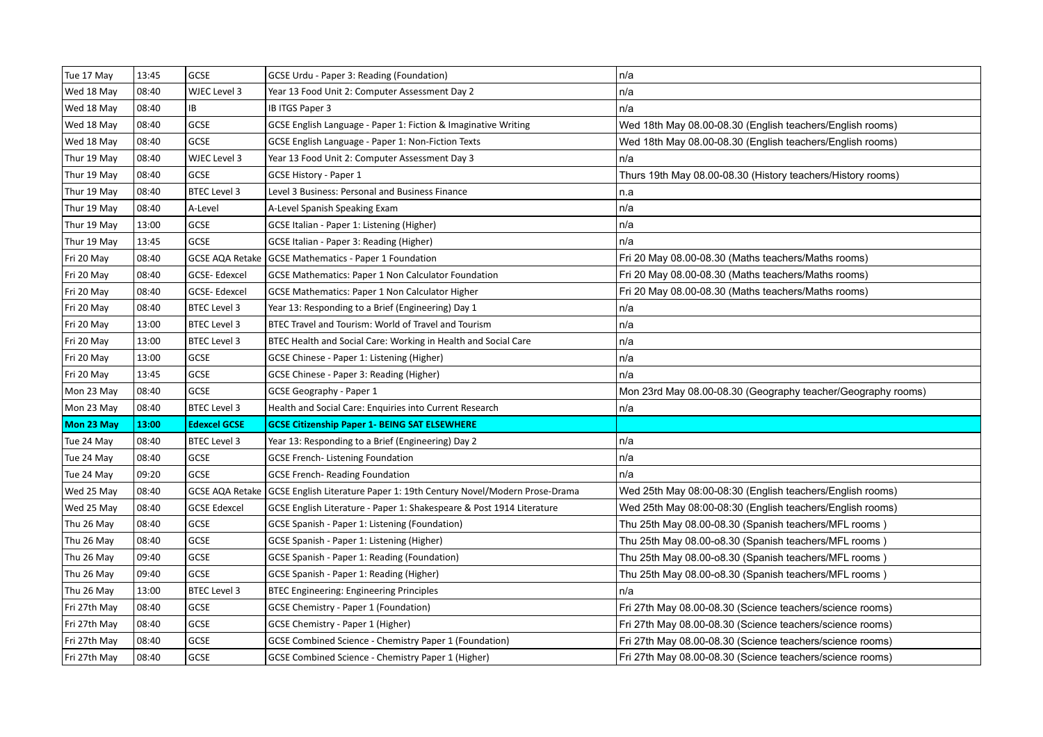| Tue 17 May   | 13:45 | <b>GCSE</b>            | GCSE Urdu - Paper 3: Reading (Foundation)                              | n/a                                                          |
|--------------|-------|------------------------|------------------------------------------------------------------------|--------------------------------------------------------------|
| Wed 18 May   | 08:40 | WJEC Level 3           | Year 13 Food Unit 2: Computer Assessment Day 2                         | n/a                                                          |
| Wed 18 May   | 08:40 | IB                     | IB ITGS Paper 3                                                        | n/a                                                          |
| Wed 18 May   | 08:40 | GCSE                   | GCSE English Language - Paper 1: Fiction & Imaginative Writing         | Wed 18th May 08.00-08.30 (English teachers/English rooms)    |
| Wed 18 May   | 08:40 | <b>GCSE</b>            | GCSE English Language - Paper 1: Non-Fiction Texts                     | Wed 18th May 08.00-08.30 (English teachers/English rooms)    |
| Thur 19 May  | 08:40 | WJEC Level 3           | Year 13 Food Unit 2: Computer Assessment Day 3                         | n/a                                                          |
| Thur 19 May  | 08:40 | <b>GCSE</b>            | <b>GCSE History - Paper 1</b>                                          | Thurs 19th May 08.00-08.30 (History teachers/History rooms)  |
| Thur 19 May  | 08:40 | <b>BTEC Level 3</b>    | Level 3 Business: Personal and Business Finance                        | n.a                                                          |
| Thur 19 May  | 08:40 | A-Level                | A-Level Spanish Speaking Exam                                          | n/a                                                          |
| Thur 19 May  | 13:00 | <b>GCSE</b>            | GCSE Italian - Paper 1: Listening (Higher)                             | n/a                                                          |
| Thur 19 May  | 13:45 | <b>GCSE</b>            | GCSE Italian - Paper 3: Reading (Higher)                               | n/a                                                          |
| Fri 20 May   | 08:40 | <b>GCSE AQA Retake</b> | <b>GCSE Mathematics - Paper 1 Foundation</b>                           | Fri 20 May 08.00-08.30 (Maths teachers/Maths rooms)          |
| Fri 20 May   | 08:40 | GCSE-Edexcel           | GCSE Mathematics: Paper 1 Non Calculator Foundation                    | Fri 20 May 08.00-08.30 (Maths teachers/Maths rooms)          |
| Fri 20 May   | 08:40 | <b>GCSE-Edexcel</b>    | <b>GCSE Mathematics: Paper 1 Non Calculator Higher</b>                 | Fri 20 May 08.00-08.30 (Maths teachers/Maths rooms)          |
| Fri 20 May   | 08:40 | <b>BTEC Level 3</b>    | Year 13: Responding to a Brief (Engineering) Day 1                     | n/a                                                          |
| Fri 20 May   | 13:00 | <b>BTEC Level 3</b>    | BTEC Travel and Tourism: World of Travel and Tourism                   | n/a                                                          |
| Fri 20 May   | 13:00 | <b>BTEC Level 3</b>    | BTEC Health and Social Care: Working in Health and Social Care         | n/a                                                          |
| Fri 20 May   | 13:00 | <b>GCSE</b>            | GCSE Chinese - Paper 1: Listening (Higher)                             | n/a                                                          |
|              |       |                        |                                                                        |                                                              |
| Fri 20 May   | 13:45 | GCSE                   | GCSE Chinese - Paper 3: Reading (Higher)                               | n/a                                                          |
| Mon 23 May   | 08:40 | <b>GCSE</b>            | GCSE Geography - Paper 1                                               | Mon 23rd May 08.00-08.30 (Geography teacher/Geography rooms) |
| Mon 23 May   | 08:40 | <b>BTEC Level 3</b>    | Health and Social Care: Enquiries into Current Research                | n/a                                                          |
| Mon 23 May   | 13:00 | <b>Edexcel GCSE</b>    | <b>GCSE Citizenship Paper 1- BEING SAT ELSEWHERE</b>                   |                                                              |
| Tue 24 May   | 08:40 | <b>BTEC Level 3</b>    | Year 13: Responding to a Brief (Engineering) Day 2                     | n/a                                                          |
| Tue 24 May   | 08:40 | <b>GCSE</b>            | <b>GCSE French-Listening Foundation</b>                                | n/a                                                          |
| Tue 24 May   | 09:20 | <b>GCSE</b>            | <b>GCSE French- Reading Foundation</b>                                 | n/a                                                          |
| Wed 25 May   | 08:40 | <b>GCSE AQA Retake</b> | GCSE English Literature Paper 1: 19th Century Novel/Modern Prose-Drama | Wed 25th May 08:00-08:30 (English teachers/English rooms)    |
| Wed 25 May   | 08:40 | <b>GCSE Edexcel</b>    | GCSE English Literature - Paper 1: Shakespeare & Post 1914 Literature  | Wed 25th May 08:00-08:30 (English teachers/English rooms)    |
| Thu 26 May   | 08:40 | <b>GCSE</b>            | GCSE Spanish - Paper 1: Listening (Foundation)                         | Thu 25th May 08.00-08.30 (Spanish teachers/MFL rooms)        |
| Thu 26 May   | 08:40 | <b>GCSE</b>            | GCSE Spanish - Paper 1: Listening (Higher)                             | Thu 25th May 08.00-o8.30 (Spanish teachers/MFL rooms)        |
| Thu 26 May   | 09:40 | GCSE                   | GCSE Spanish - Paper 1: Reading (Foundation)                           | Thu 25th May 08.00-o8.30 (Spanish teachers/MFL rooms)        |
| Thu 26 May   | 09:40 | <b>GCSE</b>            | GCSE Spanish - Paper 1: Reading (Higher)                               | Thu 25th May 08.00-o8.30 (Spanish teachers/MFL rooms)        |
| Thu 26 May   | 13:00 | <b>BTEC Level 3</b>    | <b>BTEC Engineering: Engineering Principles</b>                        | n/a                                                          |
| Fri 27th May | 08:40 | GCSE                   | <b>GCSE Chemistry - Paper 1 (Foundation)</b>                           | Fri 27th May 08.00-08.30 (Science teachers/science rooms)    |
| Fri 27th May | 08:40 | <b>GCSE</b>            | GCSE Chemistry - Paper 1 (Higher)                                      | Fri 27th May 08.00-08.30 (Science teachers/science rooms)    |
| Fri 27th May | 08:40 | <b>GCSE</b>            | <b>GCSE Combined Science - Chemistry Paper 1 (Foundation)</b>          | Fri 27th May 08.00-08.30 (Science teachers/science rooms)    |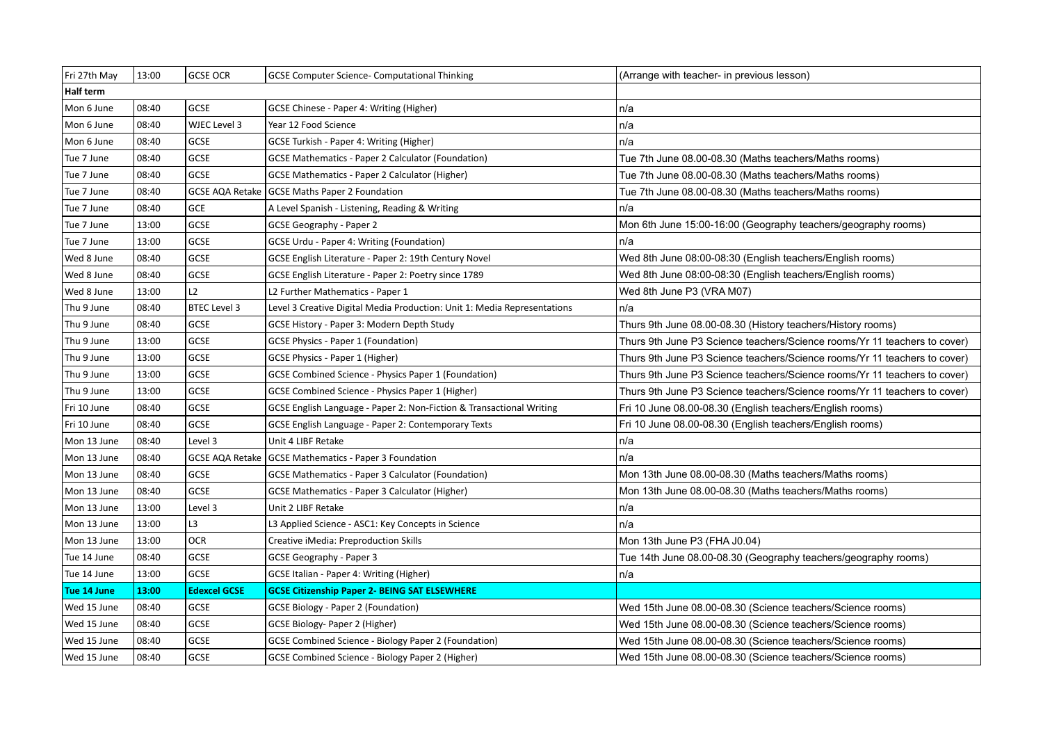| Fri 27th May     | 13:00 | <b>GCSE OCR</b>     | <b>GCSE Computer Science- Computational Thinking</b>                     | (Arrange with teacher- in previous lesson)                                |
|------------------|-------|---------------------|--------------------------------------------------------------------------|---------------------------------------------------------------------------|
| <b>Half term</b> |       |                     |                                                                          |                                                                           |
| Mon 6 June       | 08:40 | <b>GCSE</b>         | GCSE Chinese - Paper 4: Writing (Higher)                                 | n/a                                                                       |
| Mon 6 June       | 08:40 | WJEC Level 3        | Year 12 Food Science                                                     | n/a                                                                       |
| Mon 6 June       | 08:40 | <b>GCSE</b>         | GCSE Turkish - Paper 4: Writing (Higher)                                 | n/a                                                                       |
| Tue 7 June       | 08:40 | <b>GCSE</b>         | <b>GCSE Mathematics - Paper 2 Calculator (Foundation)</b>                | Tue 7th June 08.00-08.30 (Maths teachers/Maths rooms)                     |
| Tue 7 June       | 08:40 | GCSE                | <b>GCSE Mathematics - Paper 2 Calculator (Higher)</b>                    | Tue 7th June 08.00-08.30 (Maths teachers/Maths rooms)                     |
| Tue 7 June       | 08:40 | GCSE AQA Retake     | <b>GCSE Maths Paper 2 Foundation</b>                                     | Tue 7th June 08.00-08.30 (Maths teachers/Maths rooms)                     |
| Tue 7 June       | 08:40 | <b>GCE</b>          | A Level Spanish - Listening, Reading & Writing                           | n/a                                                                       |
| Tue 7 June       | 13:00 | GCSE                | GCSE Geography - Paper 2                                                 | Mon 6th June 15:00-16:00 (Geography teachers/geography rooms)             |
| Tue 7 June       | 13:00 | <b>GCSE</b>         | <b>GCSE Urdu - Paper 4: Writing (Foundation)</b>                         | n/a                                                                       |
| Wed 8 June       | 08:40 | <b>GCSE</b>         | GCSE English Literature - Paper 2: 19th Century Novel                    | Wed 8th June 08:00-08:30 (English teachers/English rooms)                 |
| Wed 8 June       | 08:40 | <b>GCSE</b>         | GCSE English Literature - Paper 2: Poetry since 1789                     | Wed 8th June 08:00-08:30 (English teachers/English rooms)                 |
| Wed 8 June       | 13:00 | L2                  | L2 Further Mathematics - Paper 1                                         | Wed 8th June P3 (VRA M07)                                                 |
| Thu 9 June       | 08:40 | <b>BTEC Level 3</b> | Level 3 Creative Digital Media Production: Unit 1: Media Representations | n/a                                                                       |
| Thu 9 June       | 08:40 | GCSE                | GCSE History - Paper 3: Modern Depth Study                               | Thurs 9th June 08.00-08.30 (History teachers/History rooms)               |
| Thu 9 June       | 13:00 | <b>GCSE</b>         | GCSE Physics - Paper 1 (Foundation)                                      | Thurs 9th June P3 Science teachers/Science rooms/Yr 11 teachers to cover) |
| Thu 9 June       | 13:00 | <b>GCSE</b>         | GCSE Physics - Paper 1 (Higher)                                          | Thurs 9th June P3 Science teachers/Science rooms/Yr 11 teachers to cover) |
| Thu 9 June       | 13:00 | GCSE                | <b>GCSE Combined Science - Physics Paper 1 (Foundation)</b>              | Thurs 9th June P3 Science teachers/Science rooms/Yr 11 teachers to cover) |
| Thu 9 June       | 13:00 | GCSE                | GCSE Combined Science - Physics Paper 1 (Higher)                         | Thurs 9th June P3 Science teachers/Science rooms/Yr 11 teachers to cover) |
| Fri 10 June      | 08:40 | GCSE                | GCSE English Language - Paper 2: Non-Fiction & Transactional Writing     | Fri 10 June 08.00-08.30 (English teachers/English rooms)                  |
| Fri 10 June      | 08:40 | GCSE                | GCSE English Language - Paper 2: Contemporary Texts                      | Fri 10 June 08.00-08.30 (English teachers/English rooms)                  |
| Mon 13 June      | 08:40 | Level 3             | Unit 4 LIBF Retake                                                       | n/a                                                                       |
| Mon 13 June      | 08:40 |                     | GCSE AQA Retake   GCSE Mathematics - Paper 3 Foundation                  | n/a                                                                       |
| Mon 13 June      | 08:40 | <b>GCSE</b>         | <b>GCSE Mathematics - Paper 3 Calculator (Foundation)</b>                | Mon 13th June 08.00-08.30 (Maths teachers/Maths rooms)                    |
| Mon 13 June      | 08:40 | <b>GCSE</b>         | <b>GCSE Mathematics - Paper 3 Calculator (Higher)</b>                    | Mon 13th June 08.00-08.30 (Maths teachers/Maths rooms)                    |
| Mon 13 June      | 13:00 | Level 3             | Unit 2 LIBF Retake                                                       | n/a                                                                       |
| Mon 13 June      | 13:00 | L3                  | L3 Applied Science - ASC1: Key Concepts in Science                       | n/a                                                                       |
| Mon 13 June      | 13:00 | <b>OCR</b>          | Creative iMedia: Preproduction Skills                                    | Mon 13th June P3 (FHA J0.04)                                              |
| Tue 14 June      | 08:40 | <b>GCSE</b>         | GCSE Geography - Paper 3                                                 | Tue 14th June 08.00-08.30 (Geography teachers/geography rooms)            |
| Tue 14 June      | 13:00 | <b>GCSE</b>         | GCSE Italian - Paper 4: Writing (Higher)                                 | n/a                                                                       |
| Tue 14 June      | 13:00 | <b>Edexcel GCSE</b> | <b>GCSE Citizenship Paper 2- BEING SAT ELSEWHERE</b>                     |                                                                           |
| Wed 15 June      | 08:40 | GCSE                | <b>GCSE Biology - Paper 2 (Foundation)</b>                               | Wed 15th June 08.00-08.30 (Science teachers/Science rooms)                |
| Wed 15 June      | 08:40 | <b>GCSE</b>         | GCSE Biology- Paper 2 (Higher)                                           | Wed 15th June 08.00-08.30 (Science teachers/Science rooms)                |
| Wed 15 June      | 08:40 | <b>GCSE</b>         | <b>GCSE Combined Science - Biology Paper 2 (Foundation)</b>              | Wed 15th June 08.00-08.30 (Science teachers/Science rooms)                |
| Wed 15 June      | 08:40 | <b>GCSE</b>         | GCSE Combined Science - Biology Paper 2 (Higher)                         | Wed 15th June 08.00-08.30 (Science teachers/Science rooms)                |